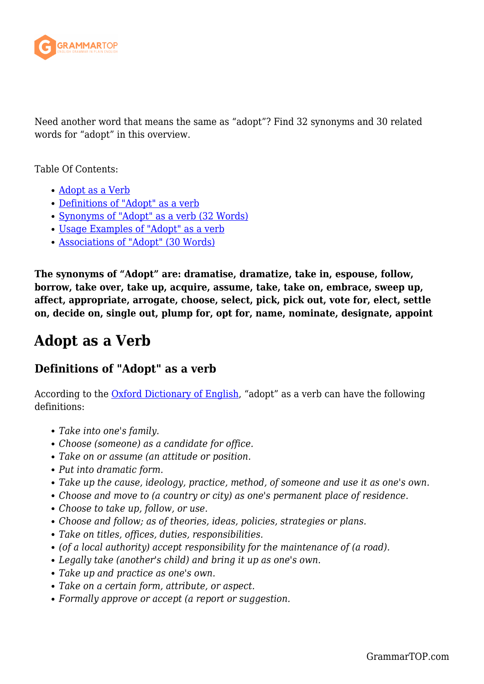

Need another word that means the same as "adopt"? Find 32 synonyms and 30 related words for "adopt" in this overview.

Table Of Contents:

- [Adopt as a Verb](#page--1-0)
- [Definitions of "Adopt" as a verb](#page--1-0)
- [Synonyms of "Adopt" as a verb \(32 Words\)](#page--1-0)
- [Usage Examples of "Adopt" as a verb](#page--1-0)
- [Associations of "Adopt" \(30 Words\)](#page--1-0)

**The synonyms of "Adopt" are: dramatise, dramatize, take in, espouse, follow, borrow, take over, take up, acquire, assume, take, take on, embrace, sweep up, affect, appropriate, arrogate, choose, select, pick, pick out, vote for, elect, settle on, decide on, single out, plump for, opt for, name, nominate, designate, appoint**

### **Adopt as a Verb**

### **Definitions of "Adopt" as a verb**

According to the [Oxford Dictionary of English,](https://www.oxfordreference.com/view/10.1093/acref/9780199571123.001.0001/acref-9780199571123) "adopt" as a verb can have the following definitions:

- *Take into one's family.*
- *Choose (someone) as a candidate for office.*
- *Take on or assume (an attitude or position.*
- *Put into dramatic form.*
- *Take up the cause, ideology, practice, method, of someone and use it as one's own.*
- *Choose and move to (a country or city) as one's permanent place of residence.*
- *Choose to take up, follow, or use.*
- *Choose and follow; as of theories, ideas, policies, strategies or plans.*
- *Take on titles, offices, duties, responsibilities.*
- *(of a local authority) accept responsibility for the maintenance of (a road).*
- *Legally take (another's child) and bring it up as one's own.*
- *Take up and practice as one's own.*
- *Take on a certain form, attribute, or aspect.*
- *Formally approve or accept (a report or suggestion.*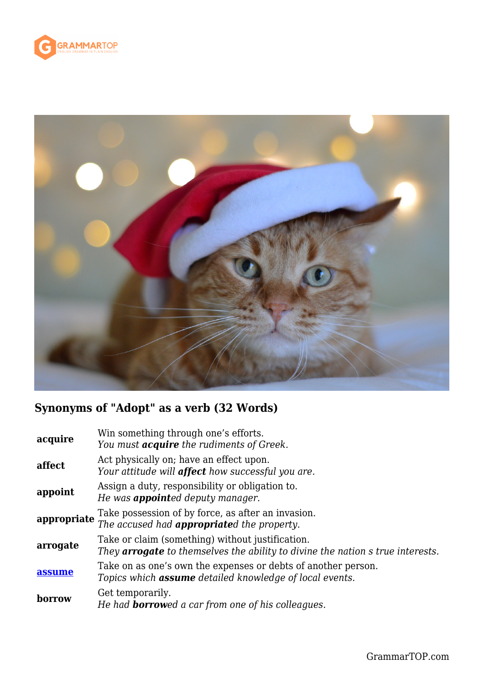



## **Synonyms of "Adopt" as a verb (32 Words)**

| acquire     | Win something through one's efforts.<br>You must <i>acquire</i> the rudiments of Greek.                                                   |
|-------------|-------------------------------------------------------------------------------------------------------------------------------------------|
| affect      | Act physically on; have an effect upon.<br>Your attitude will <b>affect</b> how successful you are.                                       |
| appoint     | Assign a duty, responsibility or obligation to.<br>He was <b>appointed</b> deputy manager.                                                |
| appropriate | Take possession of by force, as after an invasion.<br>The accused had <b>appropriate</b> d the property.                                  |
| arrogate    | Take or claim (something) without justification.<br>They <b>arrogate</b> to themselves the ability to divine the nation s true interests. |
| assume      | Take on as one's own the expenses or debts of another person.<br>Topics which <b>assume</b> detailed knowledge of local events.           |
| borrow      | Get temporarily.<br>He had <b>borrow</b> ed a car from one of his colleagues.                                                             |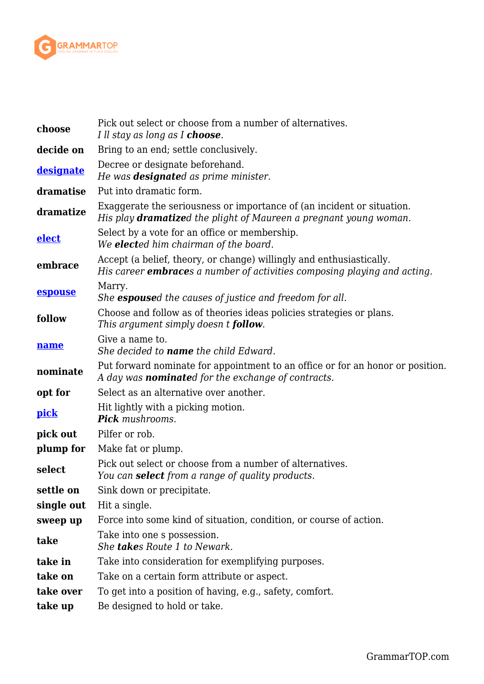

| choose       | Pick out select or choose from a number of alternatives.<br>I ll stay as long as I <b>choose</b> .                                                       |
|--------------|----------------------------------------------------------------------------------------------------------------------------------------------------------|
| decide on    | Bring to an end; settle conclusively.                                                                                                                    |
| designate    | Decree or designate beforehand.<br>He was <b>designate</b> d as prime minister.                                                                          |
| dramatise    | Put into dramatic form.                                                                                                                                  |
| dramatize    | Exaggerate the seriousness or importance of (an incident or situation.<br>His play <b>dramatize</b> d the plight of Maureen a pregnant young woman.      |
| <b>elect</b> | Select by a vote for an office or membership.<br>We <b>elect</b> ed him chairman of the board.                                                           |
| embrace      | Accept (a belief, theory, or change) willingly and enthusiastically.<br>His career <b>embrace</b> s a number of activities composing playing and acting. |
| espouse      | Marry.<br>She espoused the causes of justice and freedom for all.                                                                                        |
| follow       | Choose and follow as of theories ideas policies strategies or plans.<br>This argument simply doesn t <b>follow</b> .                                     |
| name         | Give a name to.<br>She decided to <b>name</b> the child Edward.                                                                                          |
| nominate     | Put forward nominate for appointment to an office or for an honor or position.<br>A day was <b>nominate</b> d for the exchange of contracts.             |
| opt for      | Select as an alternative over another.                                                                                                                   |
| <u>pick</u>  | Hit lightly with a picking motion.<br><b>Pick</b> mushrooms.                                                                                             |
| pick out     | Pilfer or rob.                                                                                                                                           |
| plump for    | Make fat or plump.                                                                                                                                       |
| select       | Pick out select or choose from a number of alternatives.<br>You can <b>select</b> from a range of quality products.                                      |
| settle on    | Sink down or precipitate.                                                                                                                                |
| single out   | Hit a single.                                                                                                                                            |
| sweep up     | Force into some kind of situation, condition, or course of action.                                                                                       |
| take         | Take into one s possession.<br>She <b>take</b> s Route 1 to Newark.                                                                                      |
| take in      | Take into consideration for exemplifying purposes.                                                                                                       |
| take on      | Take on a certain form attribute or aspect.                                                                                                              |
| take over    | To get into a position of having, e.g., safety, comfort.                                                                                                 |
| take up      | Be designed to hold or take.                                                                                                                             |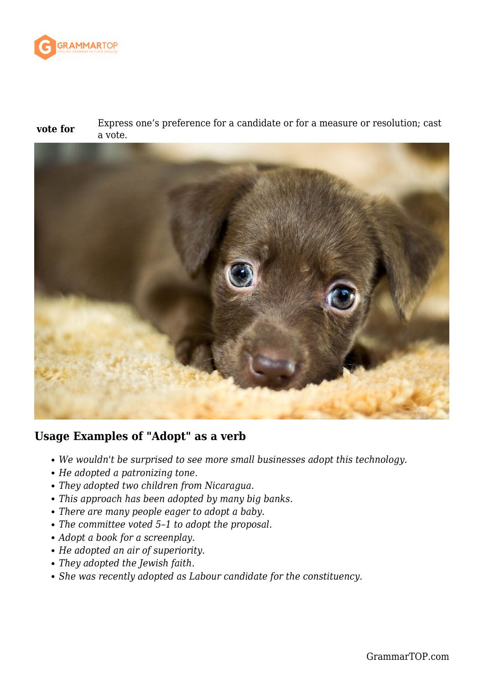

**vote for** Express one's preference for a candidate or for a measure or resolution; cast a vote.



### **Usage Examples of "Adopt" as a verb**

- *We wouldn't be surprised to see more small businesses adopt this technology.*
- *He adopted a patronizing tone.*
- *They adopted two children from Nicaragua.*
- *This approach has been adopted by many big banks.*
- *There are many people eager to adopt a baby.*
- *The committee voted 5–1 to adopt the proposal.*
- *Adopt a book for a screenplay.*
- *He adopted an air of superiority.*
- *They adopted the Jewish faith.*
- *She was recently adopted as Labour candidate for the constituency.*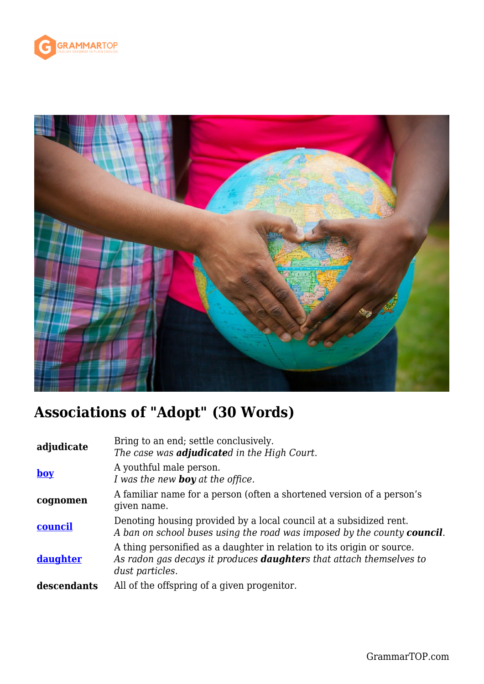



# **Associations of "Adopt" (30 Words)**

| adjudicate     | Bring to an end; settle conclusively.<br>The case was <b>adjudicate</b> d in the High Court.                                                                             |
|----------------|--------------------------------------------------------------------------------------------------------------------------------------------------------------------------|
| $\mathbf{boy}$ | A youthful male person.<br>I was the new <b>boy</b> at the office.                                                                                                       |
| cognomen       | A familiar name for a person (often a shortened version of a person's<br>given name.                                                                                     |
| council        | Denoting housing provided by a local council at a subsidized rent.<br>A ban on school buses using the road was imposed by the county <b>council</b> .                    |
| daughter       | A thing personified as a daughter in relation to its origin or source.<br>As radon gas decays it produces <b>daughter</b> s that attach themselves to<br>dust particles. |
| descendants    | All of the offspring of a given progenitor.                                                                                                                              |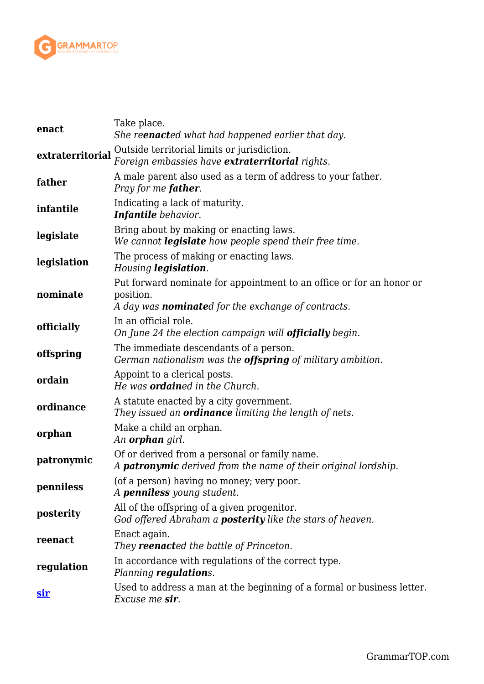

| enact            | Take place.<br>She re <b>enact</b> ed what had happened earlier that day.                                                                       |
|------------------|-------------------------------------------------------------------------------------------------------------------------------------------------|
| extraterritorial | Outside territorial limits or jurisdiction.<br>Foreign embassies have <b>extraterritorial</b> rights.                                           |
| father           | A male parent also used as a term of address to your father.<br>Pray for me <b>father</b> .                                                     |
| infantile        | Indicating a lack of maturity.<br><b>Infantile</b> behavior.                                                                                    |
| legislate        | Bring about by making or enacting laws.<br>We cannot <b>legislate</b> how people spend their free time.                                         |
| legislation      | The process of making or enacting laws.<br>Housing legislation.                                                                                 |
| nominate         | Put forward nominate for appointment to an office or for an honor or<br>position.<br>A day was <b>nominate</b> d for the exchange of contracts. |
| officially       | In an official role.<br>On June 24 the election campaign will <b>officially</b> begin.                                                          |
| offspring        | The immediate descendants of a person.<br>German nationalism was the <b>offspring</b> of military ambition.                                     |
| ordain           | Appoint to a clerical posts.<br>He was <b>ordained</b> in the Church.                                                                           |
| ordinance        | A statute enacted by a city government.<br>They issued an <b>ordinance</b> limiting the length of nets.                                         |
| orphan           | Make a child an orphan.<br>An <b>orphan</b> girl.                                                                                               |
| patronymic       | Of or derived from a personal or family name.<br>A <b>patronymic</b> derived from the name of their original lordship.                          |
| penniless        | (of a person) having no money; very poor.<br>A <b>penniless</b> young student.                                                                  |
| posterity        | All of the offspring of a given progenitor.<br>God offered Abraham a <b>posterity</b> like the stars of heaven.                                 |
| reenact          | Enact again.<br>They <b>reenact</b> ed the battle of Princeton.                                                                                 |
| regulation       | In accordance with regulations of the correct type.<br>Planning regulations.                                                                    |
| <u>sir</u>       | Used to address a man at the beginning of a formal or business letter.<br>Excuse me sir.                                                        |